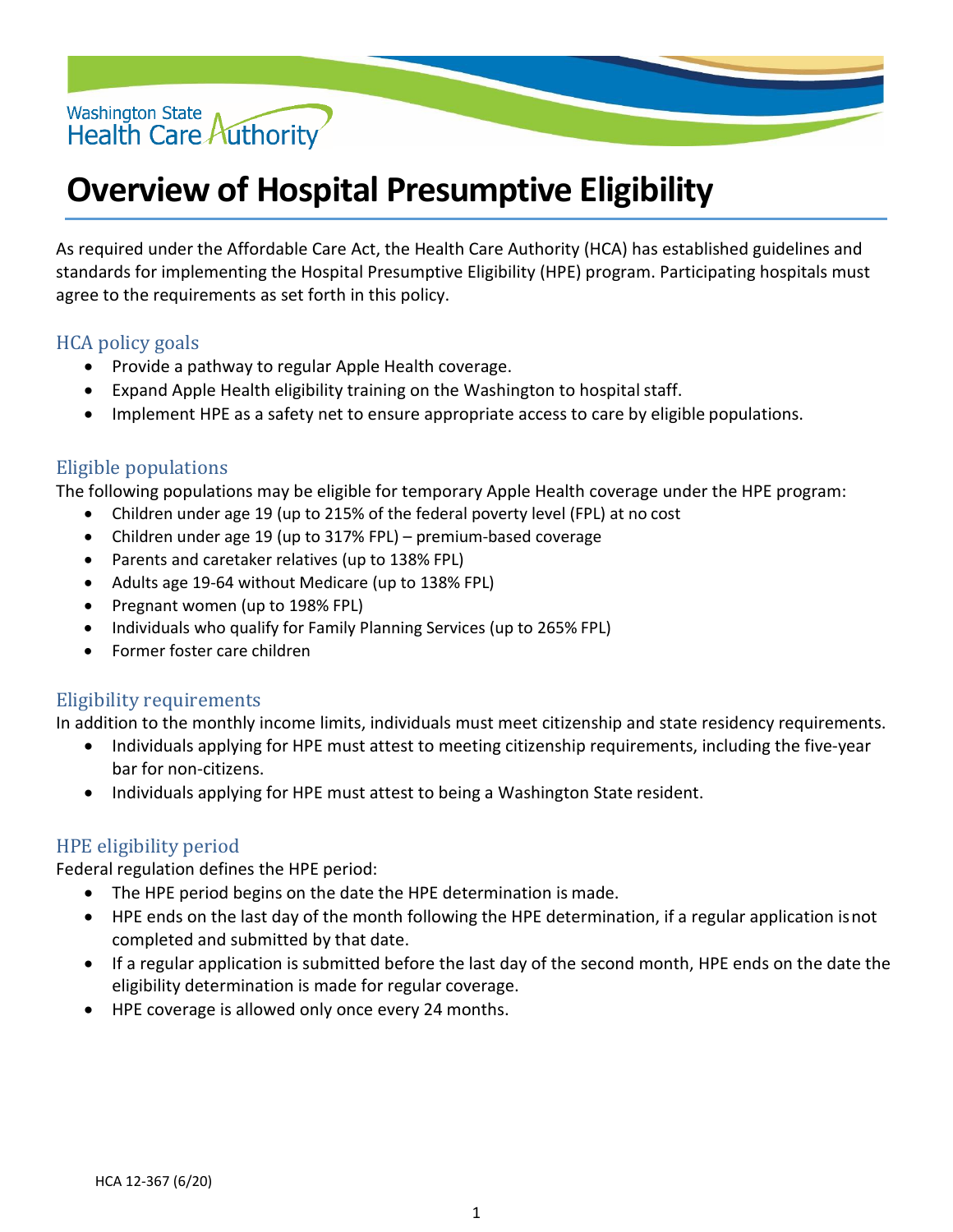

# **Overview of Hospital Presumptive Eligibility**

As required under the Affordable Care Act, the Health Care Authority (HCA) has established guidelines and standards for implementing the Hospital Presumptive Eligibility (HPE) program. Participating hospitals must agree to the requirements as set forth in this policy.

# HCA policy goals

- Provide a pathway to regular Apple Health coverage.
- Expand Apple Health eligibility training on the Washington to hospital staff.
- Implement HPE as a safety net to ensure appropriate access to care by eligible populations.

### Eligible populations

The following populations may be eligible for temporary Apple Health coverage under the HPE program:

- Children under age 19 (up to 215% of the federal poverty level (FPL) at no cost
- Children under age 19 (up to 317% FPL) premium-based coverage
- Parents and caretaker relatives (up to 138% FPL)
- Adults age 19-64 without Medicare (up to 138% FPL)
- Pregnant women (up to 198% FPL)
- Individuals who qualify for Family Planning Services (up to 265% FPL)
- Former foster care children

#### Eligibility requirements

In addition to the monthly income limits, individuals must meet citizenship and state residency requirements.

- Individuals applying for HPE must attest to meeting citizenship requirements, including the five-year bar for non-citizens.
- Individuals applying for HPE must attest to being a Washington State resident.

#### HPE eligibility period

Federal regulation defines the HPE period:

- The HPE period begins on the date the HPE determination is made.
- HPE ends on the last day of the month following the HPE determination, if a regular application isnot completed and submitted by that date.
- If a regular application is submitted before the last day of the second month, HPE ends on the date the eligibility determination is made for regular coverage.
- HPE coverage is allowed only once every 24 months.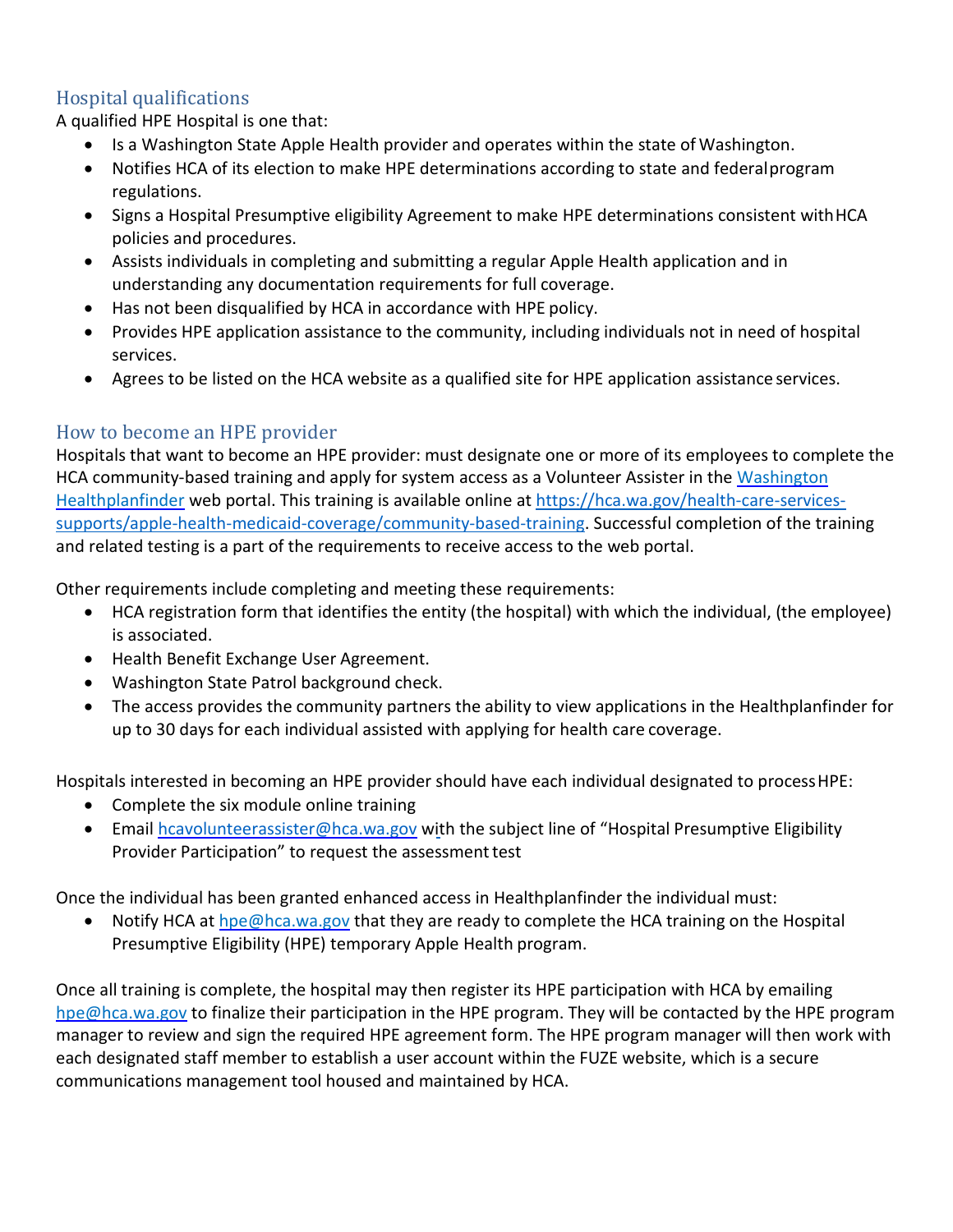# Hospital qualifications

A qualified HPE Hospital is one that:

- Is a Washington State Apple Health provider and operates within the state of Washington.
- Notifies HCA of its election to make HPE determinations according to state and federalprogram regulations.
- Signs a Hospital Presumptive eligibility Agreement to make HPE determinations consistent withHCA policies and procedures.
- Assists individuals in completing and submitting a regular Apple Health application and in understanding any documentation requirements for full coverage.
- Has not been disqualified by HCA in accordance with HPE policy.
- Provides HPE application assistance to the community, including individuals not in need of hospital services.
- Agrees to be listed on the HCA website as a qualified site for HPE application assistance services.

# How to become an HPE provider

Hospitals that want to become an HPE provider: must designate one or more of its employees to complete the HCA community-based training and apply for system access as a Volunteer Assister in the [Washington](http://www.wahealthplanfinder.org/) [Healthplanfinder](http://www.wahealthplanfinder.org/) web portal. This training is available online at [https://hca.wa.gov/health-care-services](https://hca.wa.gov/health-care-services-supports/apple-health-medicaid-coverage/community-based-training)[supports/apple-health-medicaid-coverage/community-based-training.](https://hca.wa.gov/health-care-services-supports/apple-health-medicaid-coverage/community-based-training) Successful completion of the training and related testing is a part of the requirements to receive access to the web portal.

Other requirements include completing and meeting these requirements:

- HCA registration form that identifies the entity (the hospital) with which the individual, (the employee) is associated.
- Health Benefit Exchange User Agreement.
- Washington State Patrol background check.
- The access provides the community partners the ability to view applications in the Healthplanfinder for up to 30 days for each individual assisted with applying for health care coverage.

Hospitals interested in becoming an HPE provider should have each individual designated to processHPE:

- Complete the six module online training
- Email [hcavolunteerassister@hca.wa.gov](mailto:hcavolunteerassister@hca.wa.gov) with the subject line of "Hospital Presumptive Eligibility Provider Participation" to request the assessment test

Once the individual has been granted enhanced access in Healthplanfinder the individual must:

• Notify HCA at [hpe@hca.wa.gov](mailto:hpe@hca.wa.gov) that they are ready to complete the HCA training on the Hospital Presumptive Eligibility (HPE) temporary Apple Health program.

Once all training is complete, the hospital may then register its HPE participation with HCA by emailing [hpe@hca.wa.gov](mailto:hpe@hca.wa.gov) to finalize their participation in the HPE program. They will be contacted by the HPE program manager to review and sign the required HPE agreement form. The HPE program manager will then work with each designated staff member to establish a user account within the FUZE website, which is a secure communications management tool housed and maintained by HCA.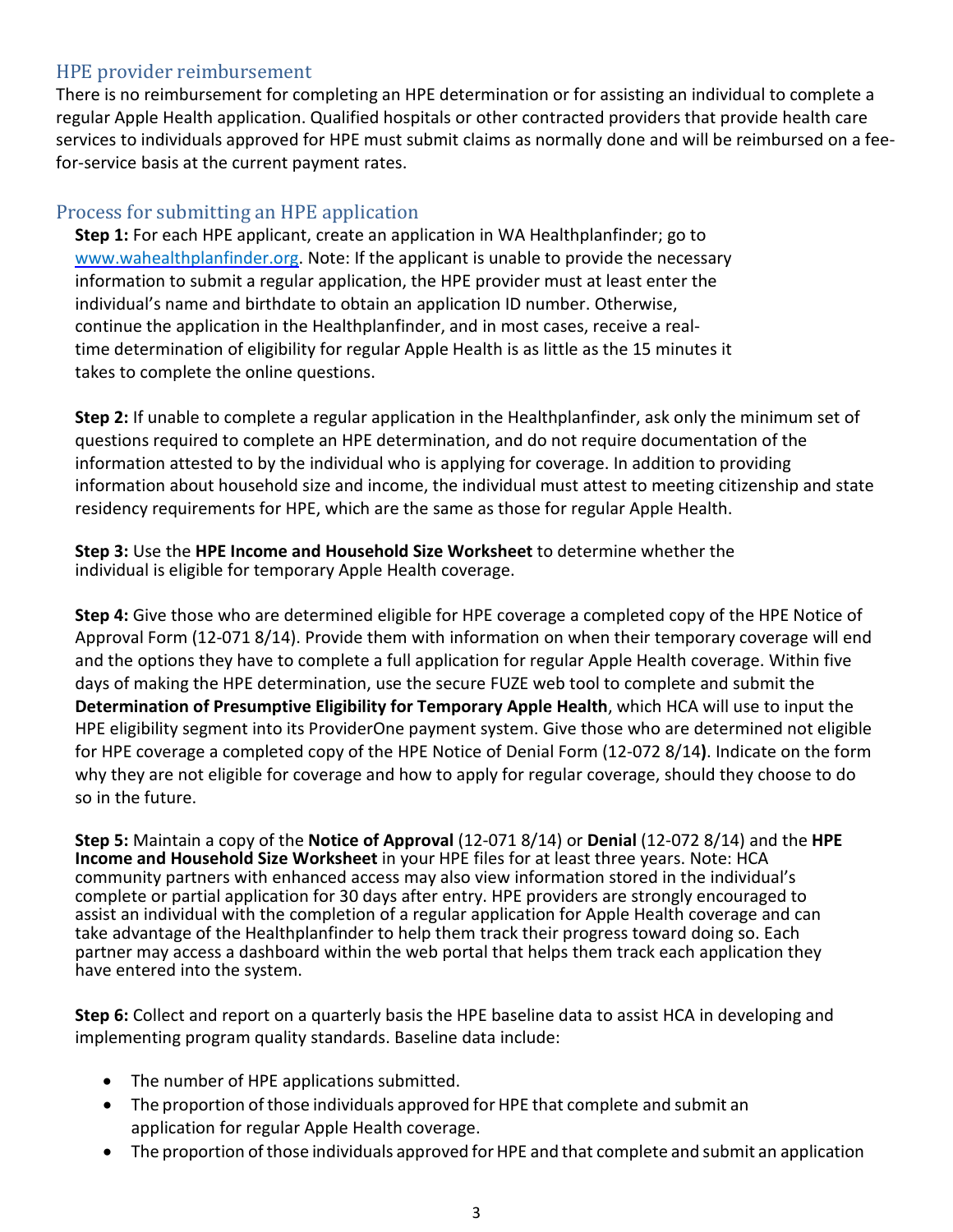# HPE provider reimbursement

There is no reimbursement for completing an HPE determination or for assisting an individual to complete a regular Apple Health application. Qualified hospitals or other contracted providers that provide health care services to individuals approved for HPE must submit claims as normally done and will be reimbursed on a feefor-service basis at the current payment rates.

## Process for submitting an HPE application

**Step 1:** For each HPE applicant, create an application in WA Healthplanfinder; go to [www.wahealthplanfinder.org.](http://www.wahealthplanfinder.org/) Note: If the applicant is unable to provide the necessary information to submit a regular application, the HPE provider must at least enter the individual's name and birthdate to obtain an application ID number. Otherwise, continue the application in the Healthplanfinder, and in most cases, receive a realtime determination of eligibility for regular Apple Health is as little as the 15 minutes it takes to complete the online questions.

**Step 2:** If unable to complete a regular application in the Healthplanfinder, ask only the minimum set of questions required to complete an HPE determination, and do not require documentation of the information attested to by the individual who is applying for coverage. In addition to providing information about household size and income, the individual must attest to meeting citizenship and state residency requirements for HPE, which are the same as those for regular Apple Health.

**Step 3:** Use the **HPE Income and Household Size Worksheet** to determine whether the individual is eligible for temporary Apple Health coverage.

**Step 4:** Give those who are determined eligible for HPE coverage a completed copy of the HPE Notice of Approval Form (12-071 8/14). Provide them with information on when their temporary coverage will end and the options they have to complete a full application for regular Apple Health coverage. Within five days of making the HPE determination, use the secure FUZE web tool to complete and submit the **Determination of Presumptive Eligibility for Temporary Apple Health**, which HCA will use to input the HPE eligibility segment into its ProviderOne payment system. Give those who are determined not eligible for HPE coverage a completed copy of the HPE Notice of Denial Form (12-072 8/14**)**. Indicate on the form why they are not eligible for coverage and how to apply for regular coverage, should they choose to do so in the future.

**Step 5:** Maintain a copy of the **Notice of Approval** (12-071 8/14) or **Denial** (12-072 8/14) and the **HPE Income and Household Size Worksheet** in your HPE files for at least three years. Note: HCA community partners with enhanced access may also view information stored in the individual's complete or partial application for 30 days after entry. HPE providers are strongly encouraged to assist an individual with the completion of a regular application for Apple Health coverage and can take advantage of the Healthplanfinder to help them track their progress toward doing so. Each partner may access a dashboard within the web portal that helps them track each application they have entered into the system.

**Step 6:** Collect and report on a quarterly basis the HPE baseline data to assist HCA in developing and implementing program quality standards. Baseline data include:

- The number of HPE applications submitted.
- The proportion of those individuals approved for HPE that complete and submit an application for regular Apple Health coverage.
- The proportion of those individuals approved for HPE and that complete and submit an application